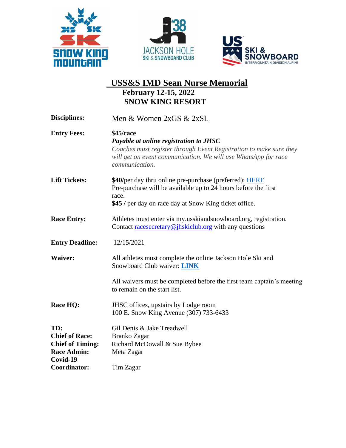





## **USS&S IMD Sean Nurse Memorial February 12-15, 2022 SNOW KING RESORT**

| Disciplines:                   | Men & Women 2xGS & 2xSL                                                                                                                                |
|--------------------------------|--------------------------------------------------------------------------------------------------------------------------------------------------------|
| <b>Entry Fees:</b>             | \$45/race<br>Payable at online registration to JHSC                                                                                                    |
|                                | Coaches must register through Event Registration to make sure they<br>will get on event communication. We will use WhatsApp for race<br>communication. |
| <b>Lift Tickets:</b>           | \$40/per day thru online pre-purchase (preferred): <b>HERE</b><br>Pre-purchase will be available up to 24 hours before the first<br>race.              |
|                                | \$45 / per day on race day at Snow King ticket office.                                                                                                 |
| <b>Race Entry:</b>             | Athletes must enter via my usskiandsnowboard.org, registration.<br>Contact racesecretary@jhskiclub.org with any questions                              |
| <b>Entry Deadline:</b>         | 12/15/2021                                                                                                                                             |
| <b>Waiver:</b>                 | All athletes must complete the online Jackson Hole Ski and<br>Snowboard Club waiver: <b>LINK</b>                                                       |
|                                | All waivers must be completed before the first team captain's meeting<br>to remain on the start list.                                                  |
| <b>Race HQ:</b>                | JHSC offices, upstairs by Lodge room<br>100 E. Snow King Avenue (307) 733-6433                                                                         |
| TD:                            | Gil Denis & Jake Treadwell                                                                                                                             |
| <b>Chief of Race:</b>          | Branko Zagar                                                                                                                                           |
| <b>Chief of Timing:</b>        | Richard McDowall & Sue Bybee                                                                                                                           |
| <b>Race Admin:</b><br>Covid-19 | Meta Zagar                                                                                                                                             |
| Coordinator:                   | Tim Zagar                                                                                                                                              |